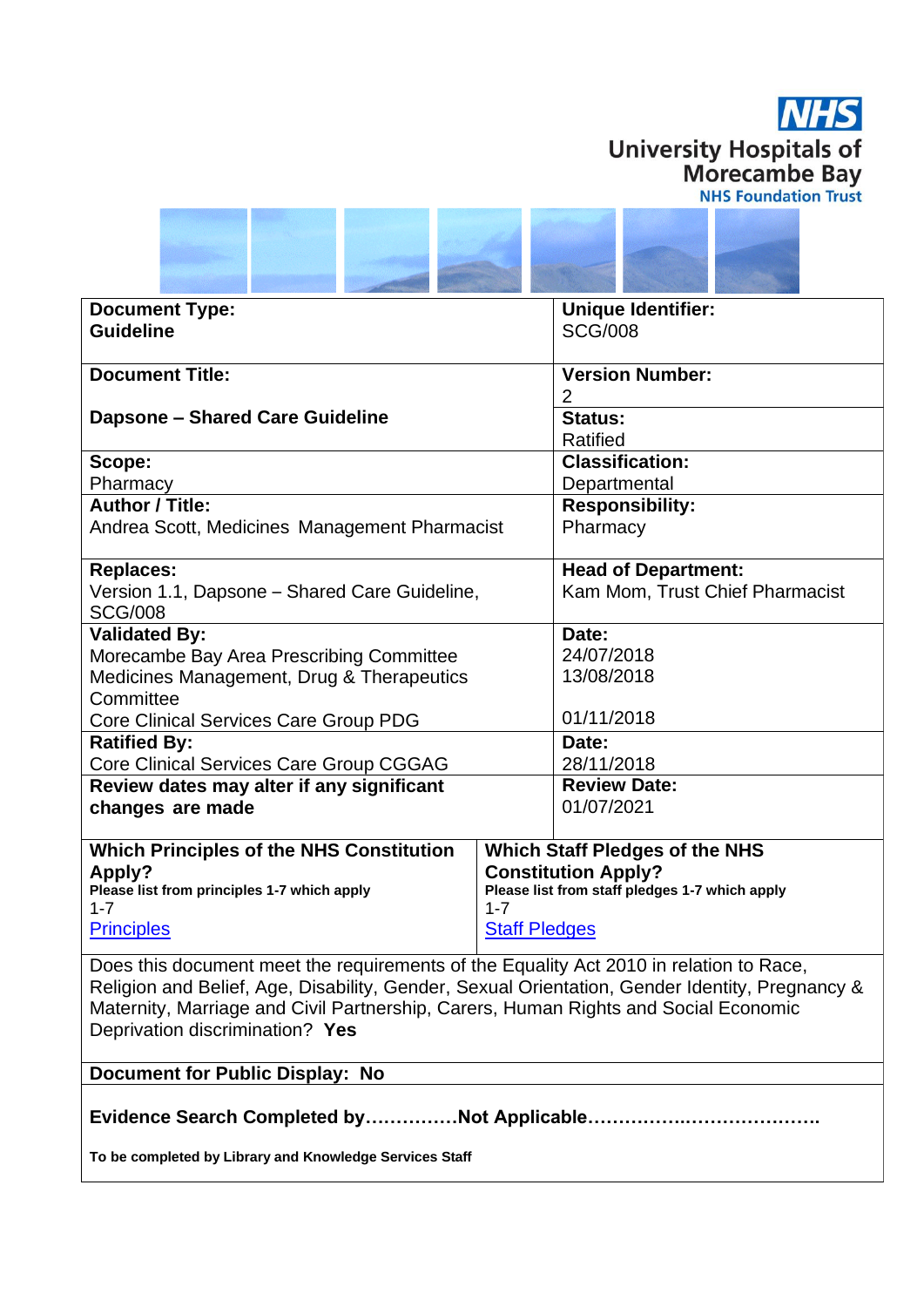



| <b>Document Type:</b>                                                                          |                                                | <b>Unique Identifier:</b>             |  |
|------------------------------------------------------------------------------------------------|------------------------------------------------|---------------------------------------|--|
| <b>Guideline</b>                                                                               |                                                | <b>SCG/008</b>                        |  |
|                                                                                                |                                                |                                       |  |
| <b>Document Title:</b>                                                                         |                                                | <b>Version Number:</b>                |  |
|                                                                                                |                                                | $\overline{2}$                        |  |
| <b>Dapsone - Shared Care Guideline</b>                                                         |                                                | <b>Status:</b>                        |  |
|                                                                                                |                                                | <b>Ratified</b>                       |  |
| Scope:                                                                                         |                                                | <b>Classification:</b>                |  |
| Pharmacy                                                                                       |                                                | Departmental                          |  |
| <b>Author / Title:</b>                                                                         |                                                | <b>Responsibility:</b>                |  |
| Andrea Scott, Medicines Management Pharmacist                                                  |                                                | Pharmacy                              |  |
|                                                                                                |                                                |                                       |  |
| <b>Replaces:</b>                                                                               |                                                | <b>Head of Department:</b>            |  |
| Version 1.1, Dapsone - Shared Care Guideline,                                                  |                                                | Kam Mom, Trust Chief Pharmacist       |  |
| <b>SCG/008</b>                                                                                 |                                                |                                       |  |
| <b>Validated By:</b>                                                                           |                                                | Date:                                 |  |
| Morecambe Bay Area Prescribing Committee                                                       |                                                | 24/07/2018                            |  |
| Medicines Management, Drug & Therapeutics                                                      |                                                | 13/08/2018                            |  |
| Committee                                                                                      |                                                |                                       |  |
| Core Clinical Services Care Group PDG                                                          |                                                | 01/11/2018                            |  |
| <b>Ratified By:</b>                                                                            |                                                | Date:                                 |  |
| Core Clinical Services Care Group CGGAG                                                        |                                                | 28/11/2018                            |  |
| Review dates may alter if any significant                                                      |                                                | <b>Review Date:</b>                   |  |
| changes are made                                                                               |                                                | 01/07/2021                            |  |
|                                                                                                |                                                |                                       |  |
| <b>Which Principles of the NHS Constitution</b>                                                |                                                | <b>Which Staff Pledges of the NHS</b> |  |
| <b>Apply?</b>                                                                                  | <b>Constitution Apply?</b>                     |                                       |  |
| Please list from principles 1-7 which apply                                                    | Please list from staff pledges 1-7 which apply |                                       |  |
| $1 - 7$                                                                                        | $1 - 7$                                        |                                       |  |
| <b>Principles</b><br><b>Staff Pledges</b>                                                      |                                                |                                       |  |
| Does this document meet the requirements of the Equality Act 2010 in relation to Race,         |                                                |                                       |  |
| Religion and Belief, Age, Disability, Gender, Sexual Orientation, Gender Identity, Pregnancy & |                                                |                                       |  |
| Maternity, Marriage and Civil Partnership, Carers, Human Rights and Social Economic            |                                                |                                       |  |
| Deprivation discrimination? Yes                                                                |                                                |                                       |  |

## **Document for Public Display: No**

**Evidence Search Completed by……………Not Applicable…………….………………….**

**To be completed by Library and Knowledge Services Staff**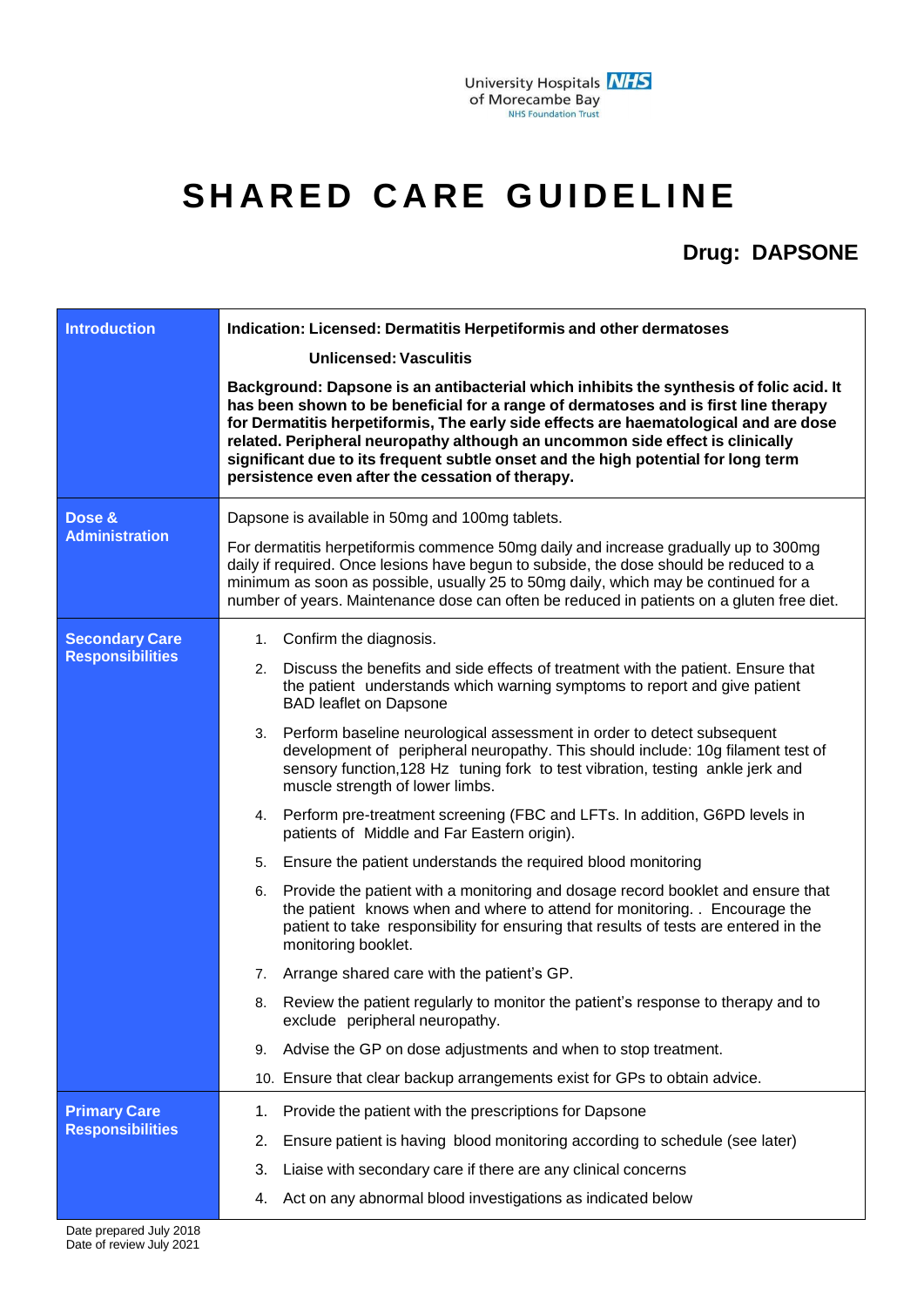## $SHARED$  **CARE GUIDELINE**

## **Drug: DAPSONE**

| <b>Introduction</b><br>Dose &                    | Indication: Licensed: Dermatitis Herpetiformis and other dermatoses<br><b>Unlicensed: Vasculitis</b><br>Background: Dapsone is an antibacterial which inhibits the synthesis of folic acid. It<br>has been shown to be beneficial for a range of dermatoses and is first line therapy<br>for Dermatitis herpetiformis, The early side effects are haematological and are dose<br>related. Peripheral neuropathy although an uncommon side effect is clinically<br>significant due to its frequent subtle onset and the high potential for long term<br>persistence even after the cessation of therapy.<br>Dapsone is available in 50mg and 100mg tablets.                                                                                                                                                                                                                                                                                                                                                                                                                                                                                                                                                                                                                                                                                          |  |
|--------------------------------------------------|-----------------------------------------------------------------------------------------------------------------------------------------------------------------------------------------------------------------------------------------------------------------------------------------------------------------------------------------------------------------------------------------------------------------------------------------------------------------------------------------------------------------------------------------------------------------------------------------------------------------------------------------------------------------------------------------------------------------------------------------------------------------------------------------------------------------------------------------------------------------------------------------------------------------------------------------------------------------------------------------------------------------------------------------------------------------------------------------------------------------------------------------------------------------------------------------------------------------------------------------------------------------------------------------------------------------------------------------------------|--|
| <b>Administration</b>                            | For dermatitis herpetiformis commence 50mg daily and increase gradually up to 300mg<br>daily if required. Once lesions have begun to subside, the dose should be reduced to a<br>minimum as soon as possible, usually 25 to 50mg daily, which may be continued for a<br>number of years. Maintenance dose can often be reduced in patients on a gluten free diet.                                                                                                                                                                                                                                                                                                                                                                                                                                                                                                                                                                                                                                                                                                                                                                                                                                                                                                                                                                                   |  |
| <b>Secondary Care</b><br><b>Responsibilities</b> | 1. Confirm the diagnosis.<br>2. Discuss the benefits and side effects of treatment with the patient. Ensure that<br>the patient understands which warning symptoms to report and give patient<br><b>BAD leaflet on Dapsone</b><br>3. Perform baseline neurological assessment in order to detect subsequent<br>development of peripheral neuropathy. This should include: 10g filament test of<br>sensory function, 128 Hz tuning fork to test vibration, testing ankle jerk and<br>muscle strength of lower limbs.<br>4. Perform pre-treatment screening (FBC and LFTs. In addition, G6PD levels in<br>patients of Middle and Far Eastern origin).<br>Ensure the patient understands the required blood monitoring<br>5.<br>Provide the patient with a monitoring and dosage record booklet and ensure that<br>6.<br>the patient knows when and where to attend for monitoring. . Encourage the<br>patient to take responsibility for ensuring that results of tests are entered in the<br>monitoring booklet.<br>Arrange shared care with the patient's GP.<br>7.<br>Review the patient regularly to monitor the patient's response to therapy and to<br>8.<br>exclude peripheral neuropathy.<br>Advise the GP on dose adjustments and when to stop treatment.<br>9.<br>10. Ensure that clear backup arrangements exist for GPs to obtain advice. |  |
| <b>Primary Care</b><br><b>Responsibilities</b>   | Provide the patient with the prescriptions for Dapsone<br>1.<br>Ensure patient is having blood monitoring according to schedule (see later)<br>2.<br>Liaise with secondary care if there are any clinical concerns<br>3.<br>Act on any abnormal blood investigations as indicated below<br>4.                                                                                                                                                                                                                                                                                                                                                                                                                                                                                                                                                                                                                                                                                                                                                                                                                                                                                                                                                                                                                                                       |  |